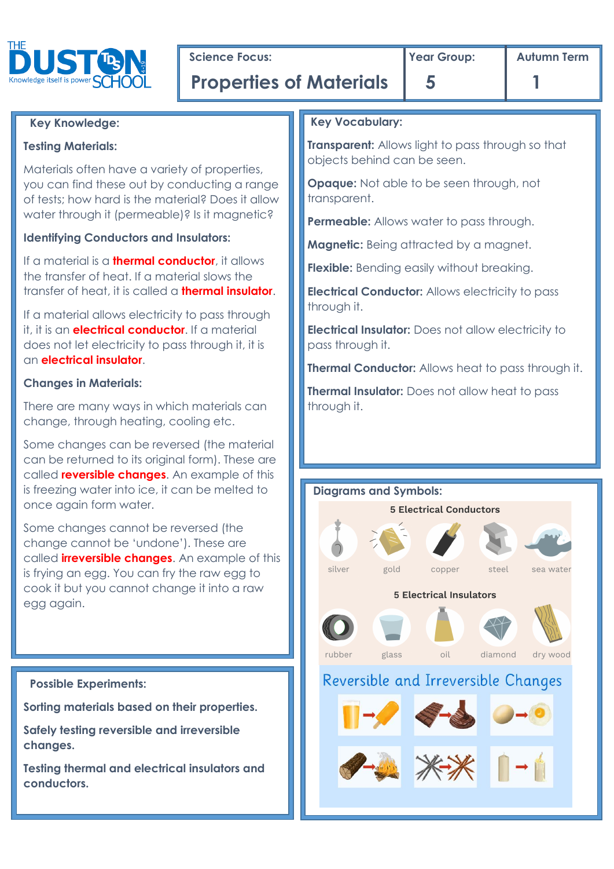

**Science Focus:** The **Properties I** Year Group: Autumn Term **Autumn** Term

# **Key Knowledge:**

# **Testing Materials:**

Materials often have a variety of properties, you can find these out by conducting a range of tests; how hard is the material? Does it allow water through it (permeable)? Is it magnetic?

# **Identifying Conductors and Insulators:**

If a material is a **thermal conductor**, it allows the transfer of heat. If a material slows the transfer of heat, it is called a **thermal insulator**.

If a material allows electricity to pass through it, it is an **electrical conductor**. If a material does not let electricity to pass through it, it is an **electrical insulator**.

# **Changes in Materials:**

There are many ways in which materials can change, through heating, cooling etc.

Some changes can be reversed (the material can be returned to its original form). These are called **reversible changes**. An example of this is freezing water into ice, it can be melted to once again form water.

Some changes cannot be reversed (the change cannot be 'undone'). These are called **irreversible changes**. An example of this is frying an egg. You can fry the raw egg to cook it but you cannot change it into a raw egg again.

# **Possible Experiments: Sorting materials based on their properties.**

**Safely testing reversible and irreversible changes.**

**Testing thermal and electrical insulators and conductors.**

# **Key Vocabulary:**

**Transparent:** Allows light to pass through so that objects behind can be seen.

**Opaque:** Not able to be seen through, not transparent.

**Permeable:** Allows water to pass through.

**Magnetic:** Being attracted by a magnet.

**Flexible:** Bending easily without breaking.

**Electrical Conductor:** Allows electricity to pass through it.

**Electrical Insulator:** Does not allow electricity to pass through it.

**Thermal Conductor:** Allows heat to pass through it.

**Thermal Insulator:** Does not allow heat to pass through it.

# **Diagrams and Symbols: 5 Electrical Conductors** silver gold copper steel sea water **5 Electrical Insulators** rubber glass oil diamond dry wood Reversible and Irreversible Changes